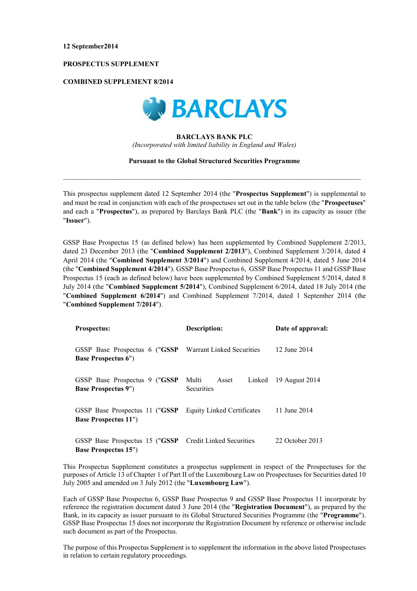## PROSPECTUS SUPPLEMENT

# **COMBINED SUPPLEMENT 8/2014**



# **BARCLAYS BANK PLC**

(Incorporated with limited liability in England and Wales)

# **Pursuant to the Global Structured Securities Programme**

This prospectus supplement dated 12 September 2014 (the "Prospectus Supplement") is supplemental to and must be read in conjunction with each of the prospectuses set out in the table below (the "Prospectuses" and each a "Prospectus"), as prepared by Barclays Bank PLC (the "Bank") in its capacity as issuer (the "Issuer").

GSSP Base Prospectus 15 (as defined below) has been supplemented by Combined Supplement 2/2013, dated 23 December 2013 (the "Combined Supplement 2/2013"), Combined Supplement 3/2014, dated 4 April 2014 (the "Combined Supplement 3/2014") and Combined Supplement 4/2014, dated 5 June 2014 (the "Combined Supplement 4/2014"). GSSP Base Prospectus 6, GSSP Base Prospectus 11 and GSSP Base Prospectus 15 (each as defined below) have been supplemented by Combined Supplement 5/2014, dated 8 July 2014 (the "Combined Supplement 5/2014"), Combined Supplement 6/2014, dated 18 July 2014 (the "Combined Supplement 6/2014") and Combined Supplement 7/2014, dated 1 September 2014 (the "Combined Supplement 7/2014").

| <b>Prospectus:</b>                                             | Description:                                  | Date of approval: |
|----------------------------------------------------------------|-----------------------------------------------|-------------------|
| GSSP Base Prospectus 6 ("GSSP<br><b>Base Prospectus 6")</b>    | Warrant Linked Securities                     | 12 June 2014      |
| GSSP Base Prospectus 9 ("GSSP<br><b>Base Prospectus 9")</b>    | Multi<br>Asset<br>Linked<br><b>Securities</b> | 19 August 2014    |
| GSSP Base Prospectus 11 ("GSSP<br><b>Base Prospectus 11"</b> ) | <b>Equity Linked Certificates</b>             | 11 June 2014      |
| GSSP Base Prospectus 15 ("GSSP<br><b>Base Prospectus 15"</b> ) | <b>Credit Linked Securities</b>               | 22 October 2013   |

This Prospectus Supplement constitutes a prospectus supplement in respect of the Prospectuses for the purposes of Article 13 of Chapter 1 of Part II of the Luxembourg Law on Prospectuses for Securities dated 10 July 2005 and amended on 3 July 2012 (the "Luxembourg Law").

Each of GSSP Base Prospectus 6, GSSP Base Prospectus 9 and GSSP Base Prospectus 11 incorporate by reference the registration document dated 3 June 2014 (the "Registration Document"), as prepared by the Bank, in its capacity as issuer pursuant to its Global Structured Securities Programme (the "Programme"). GSSP Base Prospectus 15 does not incorporate the Registration Document by reference or otherwise include such document as part of the Prospectus.

The purpose of this Prospectus Supplement is to supplement the information in the above listed Prospectuses in relation to certain regulatory proceedings.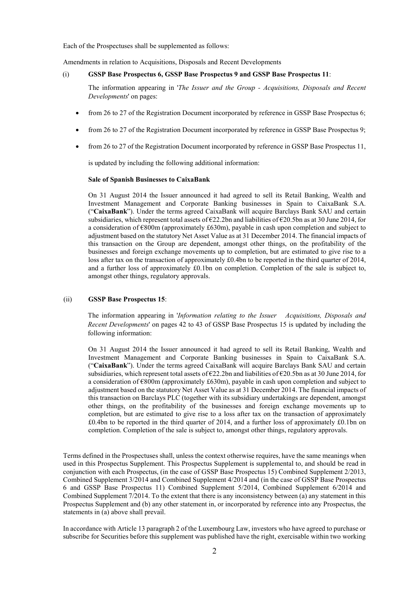Each of the Prospectuses shall be supplemented as follows:

Amendments in relation to Acquisitions, Disposals and Recent Developments

#### **GSSP Base Prospectus 6, GSSP Base Prospectus 9 and GSSP Base Prospectus 11:**  $(i)$

The information appearing in 'The Issuer and the Group - Acquisitions, Disposals and Recent Developments' on pages:

- from 26 to 27 of the Registration Document incorporated by reference in GSSP Base Prospectus 6;
- from 26 to 27 of the Registration Document incorporated by reference in GSSP Base Prospectus 9;
- from 26 to 27 of the Registration Document incorporated by reference in GSSP Base Prospectus 11,

is updated by including the following additional information:

#### **Sale of Spanish Businesses to CaixaBank**

On 31 August 2014 the Issuer announced it had agreed to sell its Retail Banking, Wealth and Investment Management and Corporate Banking businesses in Spain to CaixaBank S.A. ("CaixaBank"). Under the terms agreed CaixaBank will acquire Barclays Bank SAU and certain subsidiaries, which represent total assets of  $\epsilon$ 22.2bn and liabilities of  $\epsilon$ 20.5bn as at 30 June 2014, for a consideration of  $\epsilon$ 800m (approximately £630m), payable in cash upon completion and subject to adjustment based on the statutory Net Asset Value as at 31 December 2014. The financial impacts of this transaction on the Group are dependent, amongst other things, on the profitability of the businesses and foreign exchange movements up to completion, but are estimated to give rise to a loss after tax on the transaction of approximately £0.4bn to be reported in the third quarter of 2014, and a further loss of approximately £0.1bn on completion. Completion of the sale is subject to, amongst other things, regulatory approvals.

#### **GSSP Base Prospectus 15:**  $(ii)$

The information appearing in *Information relating to the Issuer Acquisitions*, *Disposals and* Recent Developments' on pages 42 to 43 of GSSP Base Prospectus 15 is updated by including the following information:

On 31 August 2014 the Issuer announced it had agreed to sell its Retail Banking, Wealth and Investment Management and Corporate Banking businesses in Spain to CaixaBank S.A. ("CaixaBank"). Under the terms agreed CaixaBank will acquire Barclays Bank SAU and certain subsidiaries, which represent total assets of  $\epsilon$ 22.2bn and liabilities of  $\epsilon$ 20.5bn as at 30 June 2014, for a consideration of  $\epsilon$ 800m (approximately £630m), payable in cash upon completion and subject to adjustment based on the statutory Net Asset Value as at 31 December 2014. The financial impacts of this transaction on Barclays PLC (together with its subsidiary undertakings are dependent, amongst other things, on the profitability of the businesses and foreign exchange movements up to completion, but are estimated to give rise to a loss after tax on the transaction of approximately £0.4bn to be reported in the third quarter of 2014, and a further loss of approximately £0.1bn on completion. Completion of the sale is subject to, amongst other things, regulatory approvals.

Terms defined in the Prospectuses shall, unless the context otherwise requires, have the same meanings when used in this Prospectus Supplement. This Prospectus Supplement is supplemental to, and should be read in conjunction with each Prospectus, (in the case of GSSP Base Prospectus 15) Combined Supplement 2/2013, Combined Supplement 3/2014 and Combined Supplement 4/2014 and (in the case of GSSP Base Prospectus 6 and GSSP Base Prospectus 11) Combined Supplement 5/2014, Combined Supplement 6/2014 and Combined Supplement  $7/2014$ . To the extent that there is any inconsistency between (a) any statement in this Prospectus Supplement and (b) any other statement in, or incorporated by reference into any Prospectus, the statements in  $(a)$  above shall prevail.

In accordance with Article 13 paragraph 2 of the Luxembourg Law, investors who have agreed to purchase or subscribe for Securities before this supplement was published have the right, exercisable within two working